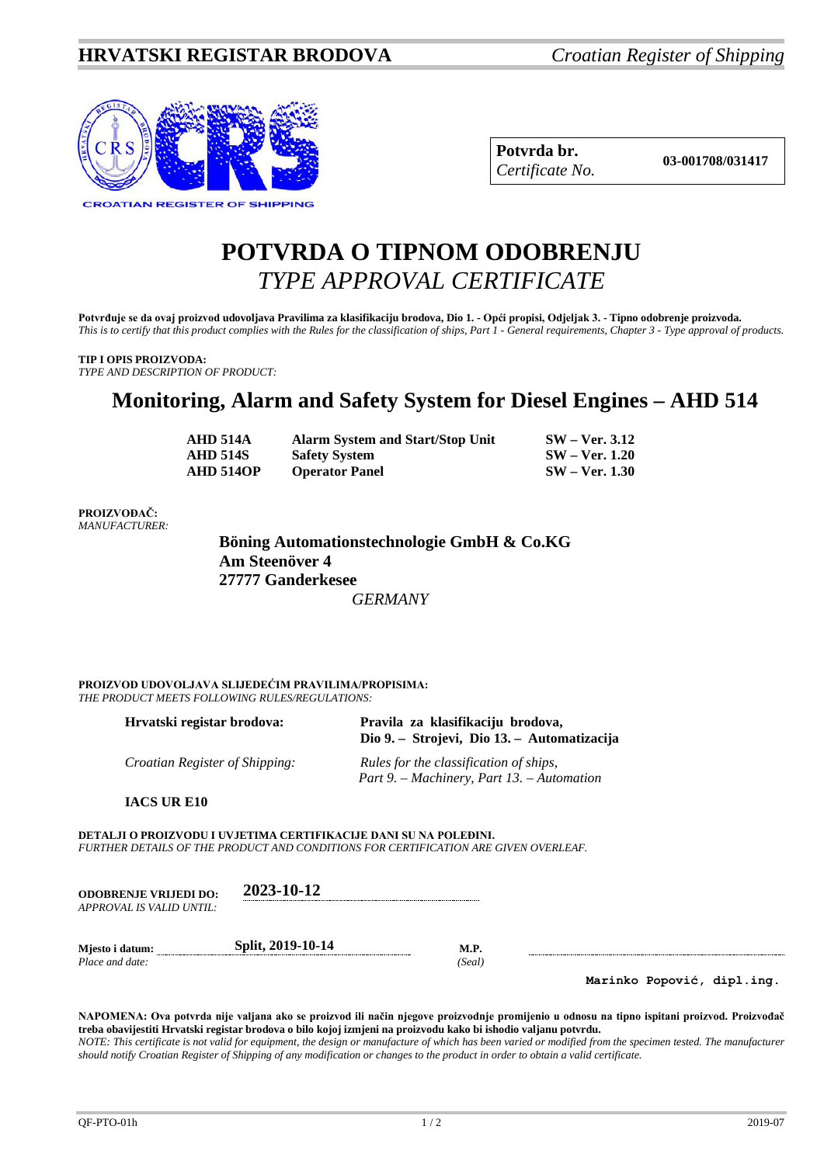

| Potvrda br.     |
|-----------------|
| Certificate No. |

### **POTVRDA O TIPNOM ODOBRENJU** *TYPE APPROVAL CERTIFICATE*

**Potvrđuje se da ovaj proizvod udovoljava Pravilima za klasifikaciju brodova, Dio 1. - Opći propisi, Odjeljak 3. - Tipno odobrenje proizvoda.** *This is to certify that this product complies with the Rules for the classification of ships, Part 1 - General requirements, Chapter 3 - Type approval of products.*

#### **TIP I OPIS PROIZVODA:**

*TYPE AND DESCRIPTION OF PRODUCT:*

### **Monitoring, Alarm and Safety System for Diesel Engines – AHD 514**

| <b>AHD 514A</b>  | <b>Alarm System and Start/Stop Unit</b> | $SW - Ver. 3.12$      |
|------------------|-----------------------------------------|-----------------------|
| <b>AHD 514S</b>  | <b>Safety System</b>                    | <b>SW</b> – Ver. 1.20 |
| <b>AHD 5140P</b> | <b>Operator Panel</b>                   | $SW - Ver. 1.30$      |

#### **PROIZVOĐAČ:** *MANUFACTURER:*

**Böning Automationstechnologie GmbH & Co.KG Am Steenöver 4 27777 Ganderkesee**  *GERMANY*

**PROIZVOD UDOVOLJAVA SLIJEDEĆIM PRAVILIMA/PROPISIMA:** *THE PRODUCT MEETS FOLLOWING RULES/REGULATIONS:*

| Hrvatski registar brodova:     | Pravila za klasifikaciju brodova,<br>Dio 9. – Strojevi, Dio 13. – Automatizacija     |
|--------------------------------|--------------------------------------------------------------------------------------|
| Croatian Register of Shipping: | Rules for the classification of ships,<br>Part 9. – Machinery, Part 13. – Automation |

**IACS UR E10**

**DETALJI O PROIZVODU I UVJETIMA CERTIFIKACIJE DANI SU NA POLEĐINI.** *FURTHER DETAILS OF THE PRODUCT AND CONDITIONS FOR CERTIFICATION ARE GIVEN OVERLEAF.*

| <b>ODOBRENJE VRLJEDI DO:</b><br>APPROVAL IS VALID UNTIL: | 2023-10-12        |             |
|----------------------------------------------------------|-------------------|-------------|
| Miesto i datum:                                          | Split, 2019-10-14 | <b>M.P.</b> |

*Place and date: (Seal)*

**Marinko Popović, dipl.ing.**

**NAPOMENA: Ova potvrda nije valjana ako se proizvod ili način njegove proizvodnje promijenio u odnosu na tipno ispitani proizvod. Proizvođač treba obavijestiti Hrvatski registar brodova o bilo kojoj izmjeni na proizvodu kako bi ishodio valjanu potvrdu.** *NOTE: This certificate is not valid for equipment, the design or manufacture of which has been varied or modified from the specimen tested. The manufacturer should notify Croatian Register of Shipping of any modification or changes to the product in order to obtain a valid certificate.*